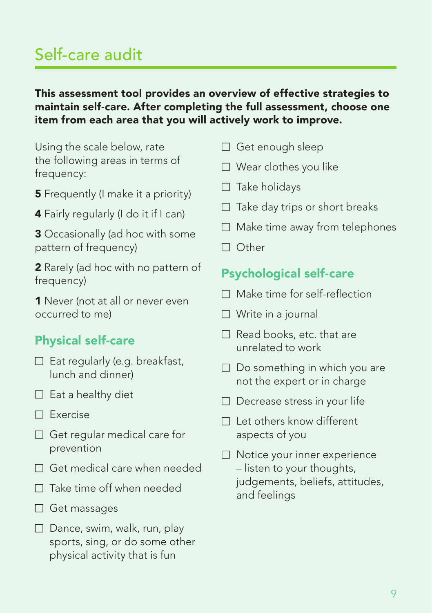# Self-care audit

#### This assessment tool provides an overview of effective strategies to maintain self-care. After completing the full assessment, choose one item from each area that you will actively work to improve.

Using the scale below, rate the following areas in terms of frequency:

- **5** Frequently (I make it a priority)
- 4 Fairly regularly (I do it if I can)

3 Occasionally (ad hoc with some pattern of frequency)

2 Rarely (ad hoc with no pattern of frequency)

1 Never (not at all or never even occurred to me)

## Physical self-care

- $\Box$  Eat regularly (e.g. breakfast, lunch and dinner)
- $\Box$  Eat a healthy diet
- $\Box$  Exercise
- $\Box$  Get regular medical care for prevention
- $\Box$  Get medical care when needed
- $\Box$  Take time off when needed
- $\Box$  Get massages
- $\Box$  Dance, swim, walk, run, play sports, sing, or do some other physical activity that is fun
- $\Box$  Get enough sleep
- $\Box$  Wear clothes you like
- $\Box$  Take holidays
- $\Box$  Take day trips or short breaks
- $\Box$  Make time away from telephones
- □ Other

## Psychological self-care

- $\Box$  Make time for self-reflection
- $\Box$  Write in a journal
- $\Box$  Read books, etc. that are unrelated to work
- $\Box$  Do something in which you are not the expert or in charge
- $\Box$  Decrease stress in your life
- $\Box$  Let others know different aspects of you
- $\Box$  Notice your inner experience – listen to your thoughts, judgements, beliefs, attitudes, and feelings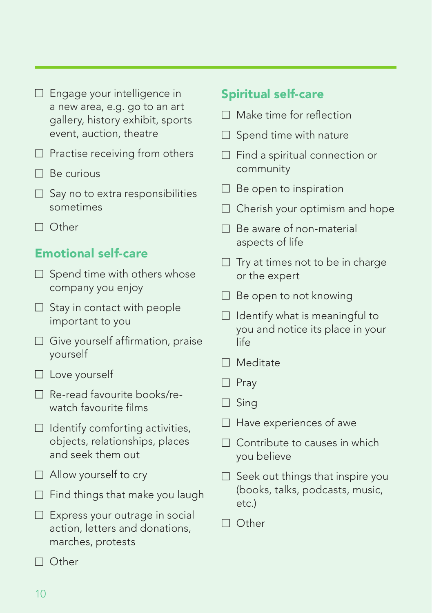| $\Box$ Engage your intelligence in |
|------------------------------------|
| a new area, e.g. go to an art      |
| gallery, history exhibit, sports   |
| event, auction, theatre            |

- $\Box$  Practise receiving from others
- $\Box$  Be curious
- $\Box$  Say no to extra responsibilities sometimes
- □ Other

## Emotional self-care

- $\Box$  Spend time with others whose company you enjoy
- $\Box$  Stay in contact with people important to you
- $\Box$  Give yourself affirmation, praise yourself
- $\Box$  Love yourself
- $\Box$  Re-read favourite books/rewatch favourite films
- $\Box$  Identify comforting activities, objects, relationships, places and seek them out
- $\Box$  Allow yourself to cry
- $\Box$  Find things that make you laugh
- $\Box$  Express your outrage in social action, letters and donations, marches, protests
- □ Other

## Spiritual self-care

- $\Box$  Make time for reflection
- $\Box$  Spend time with nature
- $\Box$  Find a spiritual connection or community
- $\Box$  Be open to inspiration
- $\Box$  Cherish your optimism and hope
- $\Box$  Be aware of non-material aspects of life
- $\Box$  Try at times not to be in charge or the expert
- $\Box$  Be open to not knowing
- $\Box$  Identify what is meaningful to you and notice its place in your life
- ■ Meditate
- □ Prav
- $\Box$  Sing
- $\Box$  Have experiences of awe
- $\Box$  Contribute to causes in which you believe
- $\Box$  Seek out things that inspire you (books, talks, podcasts, music, etc.)
- □ Other